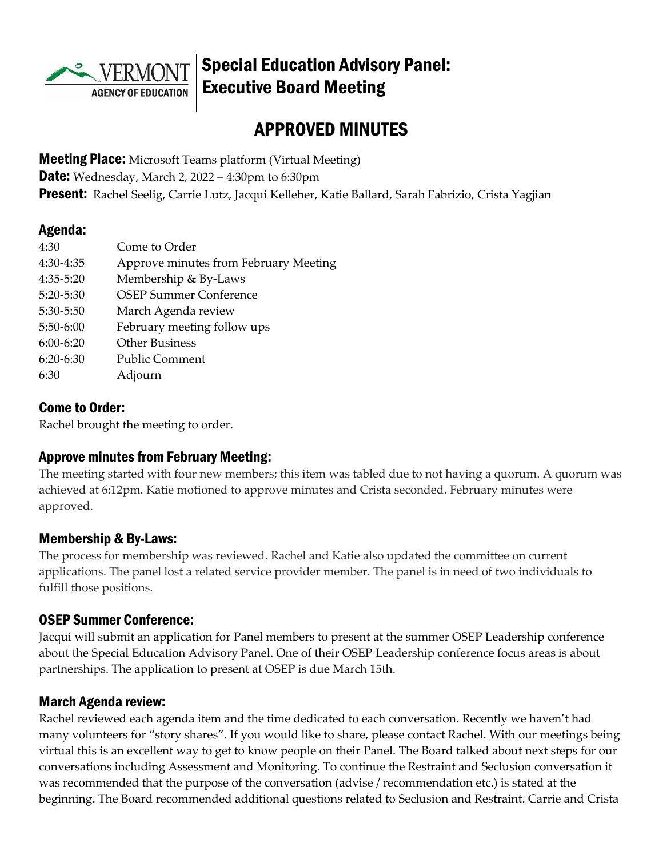

# Special Education Advisory Panel: Executive Board Meeting

# APPROVED MINUTES

**Meeting Place:** Microsoft Teams platform (Virtual Meeting) **Date:** Wednesday, March 2, 2022 – 4:30pm to 6:30pm Present: Rachel Seelig, Carrie Lutz, Jacqui Kelleher, Katie Ballard, Sarah Fabrizio, Crista Yagjian

### Agenda:

| 4:30        | Come to Order                         |
|-------------|---------------------------------------|
| 4:30-4:35   | Approve minutes from February Meeting |
| 4:35-5:20   | Membership & By-Laws                  |
| 5:20-5:30   | <b>OSEP Summer Conference</b>         |
| 5:30-5:50   | March Agenda review                   |
| 5:50-6:00   | February meeting follow ups           |
| $6:00-6:20$ | <b>Other Business</b>                 |
| $6:20-6:30$ | <b>Public Comment</b>                 |
| 6:30        | Adjourn                               |

### Come to Order:

Rachel brought the meeting to order.

## Approve minutes from February Meeting:

The meeting started with four new members; this item was tabled due to not having a quorum. A quorum was achieved at 6:12pm. Katie motioned to approve minutes and Crista seconded. February minutes were approved.

### Membership & By-Laws:

The process for membership was reviewed. Rachel and Katie also updated the committee on current applications. The panel lost a related service provider member. The panel is in need of two individuals to fulfill those positions.

### OSEP Summer Conference:

Jacqui will submit an application for Panel members to present at the summer OSEP Leadership conference about the Special Education Advisory Panel. One of their OSEP Leadership conference focus areas is about partnerships. The application to present at OSEP is due March 15th.

## March Agenda review:

Rachel reviewed each agenda item and the time dedicated to each conversation. Recently we haven't had many volunteers for "story shares". If you would like to share, please contact Rachel. With our meetings being virtual this is an excellent way to get to know people on their Panel. The Board talked about next steps for our conversations including Assessment and Monitoring. To continue the Restraint and Seclusion conversation it was recommended that the purpose of the conversation (advise / recommendation etc.) is stated at the beginning. The Board recommended additional questions related to Seclusion and Restraint. Carrie and Crista